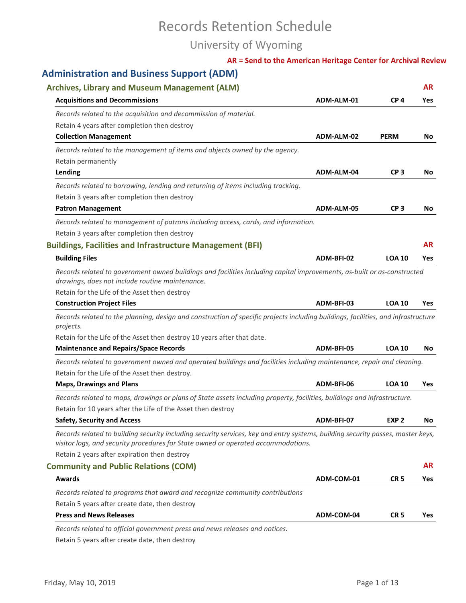# Records Retention Schedule

## University of Wyoming

#### **AR = Send to the American Heritage Center for Archival Review**

## **Administration and Business Support (ADM)**

| <b>Archives, Library and Museum Management (ALM)</b>                                                                                                                                                                        |            |                  | <b>AR</b> |
|-----------------------------------------------------------------------------------------------------------------------------------------------------------------------------------------------------------------------------|------------|------------------|-----------|
| <b>Acquisitions and Decommissions</b>                                                                                                                                                                                       | ADM-ALM-01 | CP <sub>4</sub>  | Yes       |
| Records related to the acquisition and decommission of material.                                                                                                                                                            |            |                  |           |
| Retain 4 years after completion then destroy                                                                                                                                                                                |            |                  |           |
| <b>Collection Management</b>                                                                                                                                                                                                | ADM-ALM-02 | <b>PERM</b>      | No        |
| Records related to the management of items and objects owned by the agency.                                                                                                                                                 |            |                  |           |
| Retain permanently                                                                                                                                                                                                          |            |                  |           |
| Lending                                                                                                                                                                                                                     | ADM-ALM-04 | CP <sub>3</sub>  | No.       |
| Records related to borrowing, lending and returning of items including tracking.                                                                                                                                            |            |                  |           |
| Retain 3 years after completion then destroy                                                                                                                                                                                |            |                  |           |
| <b>Patron Management</b>                                                                                                                                                                                                    | ADM-ALM-05 | CP <sub>3</sub>  | No        |
| Records related to management of patrons including access, cards, and information.                                                                                                                                          |            |                  |           |
| Retain 3 years after completion then destroy                                                                                                                                                                                |            |                  |           |
| <b>Buildings, Facilities and Infrastructure Management (BFI)</b>                                                                                                                                                            |            |                  | <b>AR</b> |
| <b>Building Files</b>                                                                                                                                                                                                       | ADM-BFI-02 | <b>LOA 10</b>    | Yes       |
| Records related to government owned buildings and facilities including capital improvements, as-built or as-constructed<br>drawings, does not include routine maintenance.<br>Retain for the Life of the Asset then destroy |            |                  |           |
| <b>Construction Project Files</b>                                                                                                                                                                                           | ADM-BFI-03 | <b>LOA 10</b>    | Yes       |
| Records related to the planning, design and construction of specific projects including buildings, facilities, and infrastructure<br>projects.<br>Retain for the Life of the Asset then destroy 10 years after that date.   |            |                  |           |
| <b>Maintenance and Repairs/Space Records</b>                                                                                                                                                                                | ADM-BFI-05 | <b>LOA 10</b>    | No.       |
| Records related to government owned and operated buildings and facilities including maintenance, repair and cleaning.<br>Retain for the Life of the Asset then destroy.                                                     |            |                  |           |
| <b>Maps, Drawings and Plans</b>                                                                                                                                                                                             | ADM-BFI-06 | <b>LOA 10</b>    | Yes       |
| Records related to maps, drawings or plans of State assets including property, facilities, buildings and infrastructure.<br>Retain for 10 years after the Life of the Asset then destroy                                    |            |                  |           |
| <b>Safety, Security and Access</b>                                                                                                                                                                                          | ADM-BFI-07 | EXP <sub>2</sub> | No        |
| Records related to building security including security services, key and entry systems, building security passes, master keys,<br>visitor logs, and security procedures for State owned or operated accommodations.        |            |                  |           |
| Retain 2 years after expiration then destroy                                                                                                                                                                                |            |                  |           |
| <b>Community and Public Relations (COM)</b>                                                                                                                                                                                 |            |                  | <b>AR</b> |
| <b>Awards</b>                                                                                                                                                                                                               | ADM-COM-01 | CR <sub>5</sub>  | Yes       |
| Records related to programs that award and recognize community contributions                                                                                                                                                |            |                  |           |
| Retain 5 years after create date, then destroy                                                                                                                                                                              |            |                  |           |
| <b>Press and News Releases</b>                                                                                                                                                                                              | ADM-COM-04 | CR <sub>5</sub>  | Yes       |
|                                                                                                                                                                                                                             |            |                  |           |

*Records related to official government press and news releases and notices.*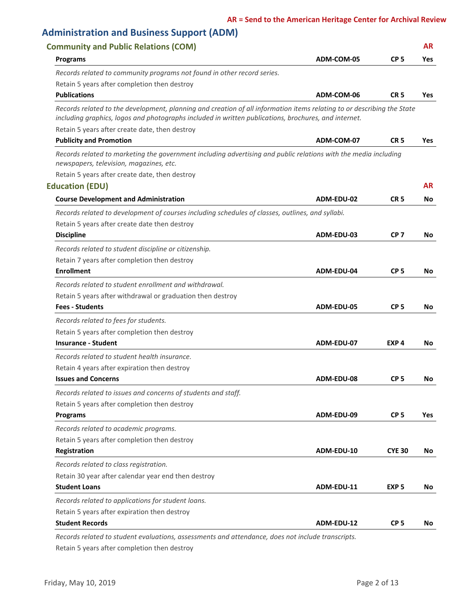|                                                                                                                                                                                                                                | ADM-COM-05 | CP <sub>5</sub>  | <b>Yes</b> |
|--------------------------------------------------------------------------------------------------------------------------------------------------------------------------------------------------------------------------------|------------|------------------|------------|
| <b>Programs</b>                                                                                                                                                                                                                |            |                  |            |
| Records related to community programs not found in other record series.                                                                                                                                                        |            |                  |            |
| Retain 5 years after completion then destroy                                                                                                                                                                                   |            |                  |            |
| <b>Publications</b>                                                                                                                                                                                                            | ADM-COM-06 | CR <sub>5</sub>  | <b>Yes</b> |
| Records related to the development, planning and creation of all information items relating to or describing the State<br>including graphics, logos and photographs included in written publications, brochures, and internet. |            |                  |            |
| Retain 5 years after create date, then destroy<br><b>Publicity and Promotion</b>                                                                                                                                               | ADM-COM-07 | CR <sub>5</sub>  | <b>Yes</b> |
|                                                                                                                                                                                                                                |            |                  |            |
| Records related to marketing the government including advertising and public relations with the media including<br>newspapers, television, magazines, etc.                                                                     |            |                  |            |
| Retain 5 years after create date, then destroy                                                                                                                                                                                 |            |                  |            |
| <b>Education (EDU)</b>                                                                                                                                                                                                         |            |                  | <b>AR</b>  |
| <b>Course Development and Administration</b>                                                                                                                                                                                   | ADM-EDU-02 | CR <sub>5</sub>  | No         |
| Records related to development of courses including schedules of classes, outlines, and syllabi.                                                                                                                               |            |                  |            |
| Retain 5 years after create date then destroy                                                                                                                                                                                  |            |                  |            |
| <b>Discipline</b>                                                                                                                                                                                                              | ADM-EDU-03 | CP <sub>7</sub>  | No         |
| Records related to student discipline or citizenship.                                                                                                                                                                          |            |                  |            |
| Retain 7 years after completion then destroy                                                                                                                                                                                   |            |                  |            |
| <b>Enrollment</b>                                                                                                                                                                                                              | ADM-EDU-04 | CP <sub>5</sub>  | No         |
| Records related to student enrollment and withdrawal.                                                                                                                                                                          |            |                  |            |
| Retain 5 years after withdrawal or graduation then destroy                                                                                                                                                                     |            |                  |            |
| <b>Fees - Students</b>                                                                                                                                                                                                         | ADM-EDU-05 | CP <sub>5</sub>  | No.        |
| Records related to fees for students.                                                                                                                                                                                          |            |                  |            |
| Retain 5 years after completion then destroy                                                                                                                                                                                   |            |                  |            |
| <b>Insurance - Student</b>                                                                                                                                                                                                     | ADM-EDU-07 | EXP <sub>4</sub> | No         |
| Records related to student health insurance.                                                                                                                                                                                   |            |                  |            |
| Retain 4 years after expiration then destroy                                                                                                                                                                                   |            |                  |            |
| <b>Issues and Concerns</b>                                                                                                                                                                                                     | ADM-EDU-08 | CP <sub>5</sub>  | No         |
| Records related to issues and concerns of students and staff.                                                                                                                                                                  |            |                  |            |
| Retain 5 years after completion then destroy                                                                                                                                                                                   |            |                  |            |
| Programs                                                                                                                                                                                                                       | ADM-EDU-09 | CP <sub>5</sub>  | Yes        |
| Records related to academic programs.                                                                                                                                                                                          |            |                  |            |
| Retain 5 years after completion then destroy                                                                                                                                                                                   |            |                  |            |
| Registration                                                                                                                                                                                                                   | ADM-EDU-10 | <b>CYE 30</b>    | No         |
| Records related to class registration.                                                                                                                                                                                         |            |                  |            |
| Retain 30 year after calendar year end then destroy                                                                                                                                                                            |            |                  |            |
| <b>Student Loans</b>                                                                                                                                                                                                           | ADM-EDU-11 | EXP <sub>5</sub> | No.        |
| Records related to applications for student loans.                                                                                                                                                                             |            |                  |            |
| Retain 5 years after expiration then destroy                                                                                                                                                                                   |            |                  |            |
| <b>Student Records</b>                                                                                                                                                                                                         | ADM-EDU-12 | CP <sub>5</sub>  | No         |

Retain 5 years after completion then destroy *Records related to student evaluations, assessments and attendance, does not include transcripts.*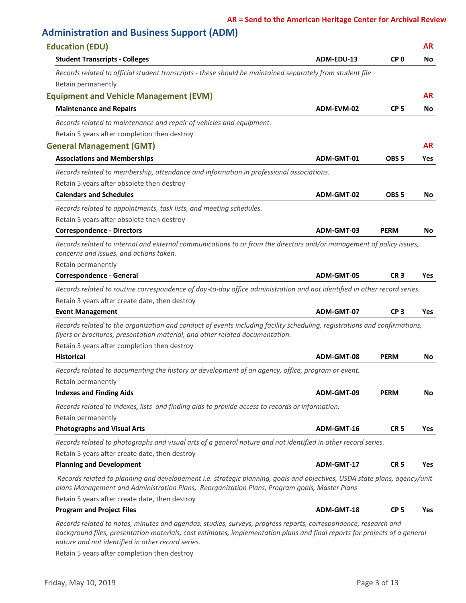### **Administration and Business Support (ADM)**

| <b>Education (EDU)</b>                                                                                                                                                                                                    |            |                  | <b>AR</b>  |
|---------------------------------------------------------------------------------------------------------------------------------------------------------------------------------------------------------------------------|------------|------------------|------------|
| <b>Student Transcripts - Colleges</b>                                                                                                                                                                                     | ADM-EDU-13 | CP <sub>0</sub>  | No         |
| Records related to official student transcripts - these should be maintained separately from student file                                                                                                                 |            |                  |            |
| Retain permanently                                                                                                                                                                                                        |            |                  |            |
| <b>Equipment and Vehicle Management (EVM)</b>                                                                                                                                                                             |            |                  | <b>AR</b>  |
| <b>Maintenance and Repairs</b>                                                                                                                                                                                            | ADM-EVM-02 | CP <sub>5</sub>  | No.        |
| Records related to maintenance and repair of vehicles and equipment.                                                                                                                                                      |            |                  |            |
| Retain 5 years after completion then destroy                                                                                                                                                                              |            |                  |            |
| <b>General Management (GMT)</b>                                                                                                                                                                                           |            |                  | <b>AR</b>  |
| <b>Associations and Memberships</b>                                                                                                                                                                                       | ADM-GMT-01 | OBS <sub>5</sub> | Yes        |
| Records related to membership, attendance and information in professional associations.                                                                                                                                   |            |                  |            |
| Retain 5 years after obsolete then destroy                                                                                                                                                                                |            |                  |            |
| <b>Calendars and Schedules</b>                                                                                                                                                                                            | ADM-GMT-02 | OBS <sub>5</sub> | No.        |
| Records related to appointments, task lists, and meeting schedules.                                                                                                                                                       |            |                  |            |
| Retain 5 years after obsolete then destroy                                                                                                                                                                                |            |                  |            |
| <b>Correspondence - Directors</b>                                                                                                                                                                                         | ADM-GMT-03 | <b>PERM</b>      | No         |
| Records related to internal and external communications to or from the directors and/or management of policy issues,<br>concerns and issues, and actions taken.                                                           |            |                  |            |
| Retain permanently                                                                                                                                                                                                        | ADM-GMT-05 | CR <sub>3</sub>  |            |
| <b>Correspondence - General</b>                                                                                                                                                                                           |            |                  | Yes        |
| Records related to routine correspondence of day-to-day office administration and not identified in other record series.                                                                                                  |            |                  |            |
| Retain 3 years after create date, then destroy<br><b>Event Management</b>                                                                                                                                                 | ADM-GMT-07 | CP <sub>3</sub>  | Yes        |
|                                                                                                                                                                                                                           |            |                  |            |
| Records related to the organization and conduct of events including facility scheduling, registrations and confirmations,<br>flyers or brochures, presentation material, and other related documentation.                 |            |                  |            |
| Retain 3 years after completion then destroy<br><b>Historical</b>                                                                                                                                                         |            |                  |            |
|                                                                                                                                                                                                                           | ADM-GMT-08 | <b>PERM</b>      | No         |
| Records related to documenting the history or development of an agency, office, program or event.                                                                                                                         |            |                  |            |
| Retain permanently                                                                                                                                                                                                        | ADM-GMT-09 | <b>PERM</b>      | No         |
| <b>Indexes and Finding Aids</b>                                                                                                                                                                                           |            |                  |            |
| Records related to indexes, lists and finding aids to provide access to records or information.                                                                                                                           |            |                  |            |
| Retain permanently<br><b>Photographs and Visual Arts</b>                                                                                                                                                                  | ADM-GMT-16 | CR <sub>5</sub>  | Yes        |
|                                                                                                                                                                                                                           |            |                  |            |
| Records related to photographs and visual arts of a general nature and not identified in other record series.                                                                                                             |            |                  |            |
| Retain 5 years after create date, then destroy                                                                                                                                                                            | ADM-GMT-17 |                  |            |
| <b>Planning and Development</b>                                                                                                                                                                                           |            | CR <sub>5</sub>  | Yes        |
| Records related to planning and developement i.e. strategic planning, goals and objectives, USDA state plans, agency/unit<br>plans Management and Administration Plans, Reorganization Plans, Program goals, Master Plans |            |                  |            |
| Retain 5 years after create date, then destroy<br><b>Program and Project Files</b>                                                                                                                                        | ADM-GMT-18 | CP <sub>5</sub>  | <b>Yes</b> |
|                                                                                                                                                                                                                           |            |                  |            |
| Records related to notes, minutes and agendas, studies, surveys, progress reports, correspondence, research and                                                                                                           |            |                  |            |

*background files, presentation materials, cost estimates, implementation plans and final reports for projects of a general nature and not identified in other record series.*

Retain 5 years after completion then destroy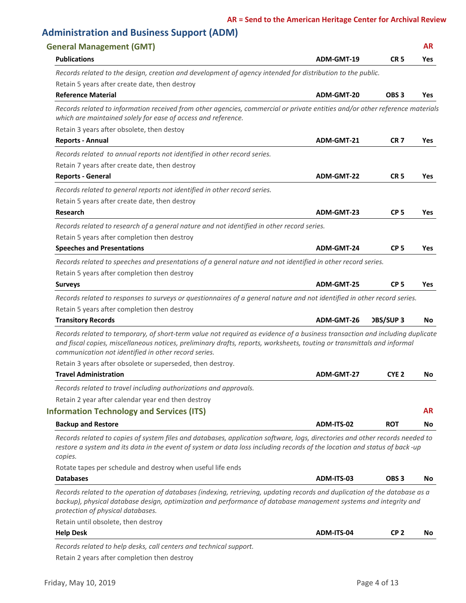| <b>General Management (GMT)</b>                                                                                                                                                                                                                                                                                 |            |                  | AR.        |
|-----------------------------------------------------------------------------------------------------------------------------------------------------------------------------------------------------------------------------------------------------------------------------------------------------------------|------------|------------------|------------|
| <b>Publications</b>                                                                                                                                                                                                                                                                                             | ADM-GMT-19 | CR <sub>5</sub>  | <b>Yes</b> |
| Records related to the design, creation and development of agency intended for distribution to the public.                                                                                                                                                                                                      |            |                  |            |
| Retain 5 years after create date, then destroy                                                                                                                                                                                                                                                                  |            |                  |            |
| <b>Reference Material</b>                                                                                                                                                                                                                                                                                       | ADM-GMT-20 | OBS <sub>3</sub> | <b>Yes</b> |
| Records related to information received from other agencies, commercial or private entities and/or other reference materials<br>which are maintained solely for ease of access and reference.                                                                                                                   |            |                  |            |
| Retain 3 years after obsolete, then destoy                                                                                                                                                                                                                                                                      |            |                  |            |
| <b>Reports - Annual</b>                                                                                                                                                                                                                                                                                         | ADM-GMT-21 | <b>CR7</b>       | Yes        |
| Records related to annual reports not identified in other record series.                                                                                                                                                                                                                                        |            |                  |            |
| Retain 7 years after create date, then destroy                                                                                                                                                                                                                                                                  |            |                  |            |
| <b>Reports - General</b>                                                                                                                                                                                                                                                                                        | ADM-GMT-22 | CR <sub>5</sub>  | Yes        |
| Records related to general reports not identified in other record series.                                                                                                                                                                                                                                       |            |                  |            |
| Retain 5 years after create date, then destroy                                                                                                                                                                                                                                                                  |            |                  |            |
| <b>Research</b>                                                                                                                                                                                                                                                                                                 | ADM-GMT-23 | CP <sub>5</sub>  | Yes        |
| Records related to research of a general nature and not identified in other record series.<br>Retain 5 years after completion then destroy                                                                                                                                                                      |            |                  |            |
| <b>Speeches and Presentations</b>                                                                                                                                                                                                                                                                               | ADM-GMT-24 | CP <sub>5</sub>  | Yes        |
|                                                                                                                                                                                                                                                                                                                 |            |                  |            |
| Records related to speeches and presentations of a general nature and not identified in other record series.                                                                                                                                                                                                    |            |                  |            |
| Retain 5 years after completion then destroy                                                                                                                                                                                                                                                                    | ADM-GMT-25 | CP <sub>5</sub>  | Yes        |
| <b>Surveys</b>                                                                                                                                                                                                                                                                                                  |            |                  |            |
| Records related to responses to surveys or questionnaires of a general nature and not identified in other record series.                                                                                                                                                                                        |            |                  |            |
| Retain 5 years after completion then destroy                                                                                                                                                                                                                                                                    |            |                  |            |
| <b>Transitory Records</b>                                                                                                                                                                                                                                                                                       | ADM-GMT-26 | <b>DBS/SUP3</b>  | No         |
| Records related to temporary, of short-term value not required as evidence of a business transaction and including duplicate<br>and fiscal copies, miscellaneous notices, preliminary drafts, reports, worksheets, touting or transmittals and informal<br>communication not identified in other record series. |            |                  |            |
| Retain 3 years after obsolete or superseded, then destroy.                                                                                                                                                                                                                                                      |            |                  |            |
| <b>Travel Administration</b>                                                                                                                                                                                                                                                                                    | ADM-GMT-27 | CYE <sub>2</sub> | No         |
| Records related to travel including authorizations and approvals.                                                                                                                                                                                                                                               |            |                  |            |
| Retain 2 year after calendar year end then destroy                                                                                                                                                                                                                                                              |            |                  |            |
| <b>Information Technology and Services (ITS)</b>                                                                                                                                                                                                                                                                |            |                  | <b>AR</b>  |
| <b>Backup and Restore</b>                                                                                                                                                                                                                                                                                       | ADM-ITS-02 | <b>ROT</b>       | No         |
| Records related to copies of system files and databases, application software, logs, directories and other records needed to<br>restore a system and its data in the event of system or data loss including records of the location and status of back-up<br>copies.                                            |            |                  |            |
| Rotate tapes per schedule and destroy when useful life ends                                                                                                                                                                                                                                                     |            |                  |            |
|                                                                                                                                                                                                                                                                                                                 | ADM-ITS-03 | OBS <sub>3</sub> | No         |
|                                                                                                                                                                                                                                                                                                                 |            |                  |            |
| <b>Databases</b><br>Records related to the operation of databases (indexing, retrieving, updating records and duplication of the database as a<br>backup), physical database design, optimization and performance of database management systems and integrity and<br>protection of physical databases.         |            |                  |            |
| Retain until obsolete, then destroy                                                                                                                                                                                                                                                                             |            |                  |            |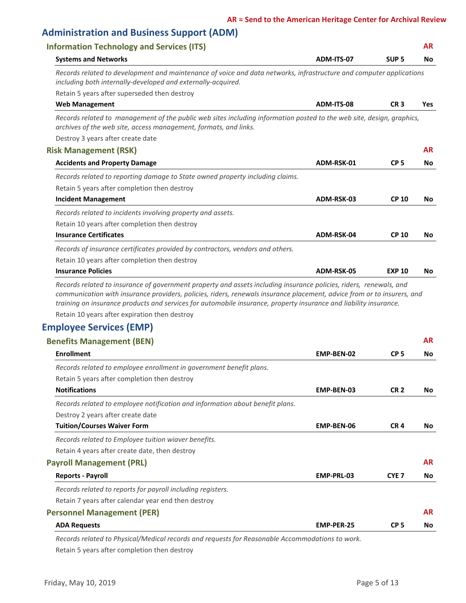### **Administration and Business Support (ADM)**

| <b>Information Technology and Services (ITS)</b>                                                                                                                                                                                                                                                                                                                                                                    |            |                  | <b>AR</b>  |
|---------------------------------------------------------------------------------------------------------------------------------------------------------------------------------------------------------------------------------------------------------------------------------------------------------------------------------------------------------------------------------------------------------------------|------------|------------------|------------|
| <b>Systems and Networks</b>                                                                                                                                                                                                                                                                                                                                                                                         | ADM-ITS-07 | SUP <sub>5</sub> | No.        |
| Records related to development and maintenance of voice and data networks, infrastructure and computer applications<br>including both internally-developed and externally-acquired.                                                                                                                                                                                                                                 |            |                  |            |
| Retain 5 years after superseded then destroy                                                                                                                                                                                                                                                                                                                                                                        |            |                  |            |
| <b>Web Management</b>                                                                                                                                                                                                                                                                                                                                                                                               | ADM-ITS-08 | CR <sub>3</sub>  | <b>Yes</b> |
| Records related to management of the public web sites including information posted to the web site, design, graphics,<br>archives of the web site, access management, formats, and links.                                                                                                                                                                                                                           |            |                  |            |
| Destroy 3 years after create date                                                                                                                                                                                                                                                                                                                                                                                   |            |                  |            |
| <b>Risk Management (RSK)</b>                                                                                                                                                                                                                                                                                                                                                                                        |            |                  | <b>AR</b>  |
| <b>Accidents and Property Damage</b>                                                                                                                                                                                                                                                                                                                                                                                | ADM-RSK-01 | CP <sub>5</sub>  | No         |
| Records related to reporting damage to State owned property including claims.                                                                                                                                                                                                                                                                                                                                       |            |                  |            |
| Retain 5 years after completion then destroy                                                                                                                                                                                                                                                                                                                                                                        |            |                  |            |
| <b>Incident Management</b>                                                                                                                                                                                                                                                                                                                                                                                          | ADM-RSK-03 | <b>CP 10</b>     | No         |
| Records related to incidents involving property and assets.                                                                                                                                                                                                                                                                                                                                                         |            |                  |            |
| Retain 10 years after completion then destroy                                                                                                                                                                                                                                                                                                                                                                       |            |                  |            |
| <b>Insurance Certificates</b>                                                                                                                                                                                                                                                                                                                                                                                       | ADM-RSK-04 | <b>CP 10</b>     | No         |
| Records of insurance certificates provided by contractors, vendors and others.                                                                                                                                                                                                                                                                                                                                      |            |                  |            |
| Retain 10 years after completion then destroy                                                                                                                                                                                                                                                                                                                                                                       |            |                  |            |
| <b>Insurance Policies</b>                                                                                                                                                                                                                                                                                                                                                                                           | ADM-RSK-05 | <b>EXP 10</b>    | No         |
| Records related to insurance of government property and assets including insurance policies, riders, renewals, and<br>communication with insurance providers, policies, riders, renewals insurance placement, advice from or to insurers, and<br>training on insurance products and services for automobile insurance, property insurance and liability insurance.<br>Retain 10 years after expiration then destroy |            |                  |            |
| <b>Employee Services (EMP)</b>                                                                                                                                                                                                                                                                                                                                                                                      |            |                  |            |
| <b>Benefits Management (BEN)</b>                                                                                                                                                                                                                                                                                                                                                                                    |            |                  | <b>AR</b>  |
| <b>Enrollment</b>                                                                                                                                                                                                                                                                                                                                                                                                   | EMP-BEN-02 | CP <sub>5</sub>  |            |
|                                                                                                                                                                                                                                                                                                                                                                                                                     |            |                  | No         |
| Records related to employee enrollment in government benefit plans.                                                                                                                                                                                                                                                                                                                                                 |            |                  |            |
| Retain 5 years after completion then destroy                                                                                                                                                                                                                                                                                                                                                                        |            |                  |            |
| <b>Notifications</b>                                                                                                                                                                                                                                                                                                                                                                                                | EMP-BEN-03 | CR <sub>2</sub>  | No         |
| Records related to employee notification and information about benefit plans.                                                                                                                                                                                                                                                                                                                                       |            |                  |            |
| Destroy 2 years after create date                                                                                                                                                                                                                                                                                                                                                                                   |            |                  |            |
| <b>Tuition/Courses Waiver Form</b>                                                                                                                                                                                                                                                                                                                                                                                  | EMP-BEN-06 | CR <sub>4</sub>  | No         |
| Records related to Employee tuition wiaver benefits.                                                                                                                                                                                                                                                                                                                                                                |            |                  |            |
| Retain 4 years after create date, then destroy                                                                                                                                                                                                                                                                                                                                                                      |            |                  |            |

#### **Payroll Management (PRL) AR**

#### **Reports - Payroll EMP-PRL-03 CYE 7**

*Records related to reports for payroll including registers.*

Retain 7 years after calendar year end then destroy

#### **Personnel Management (PER) AR**

| <b>ADA Requests</b>       | <b>EMP-PER-25</b> | CP 5 | No |
|---------------------------|-------------------|------|----|
| Croomich Management (PER) |                   |      | .  |

Retain 5 years after completion then destroy *Records related to Physical/Medical records and requests for Reasonable Accommodations to work.* **No**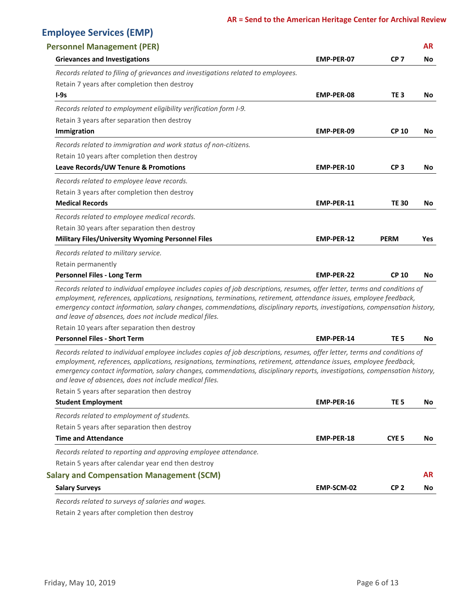## **Employee Services (EMP)**

| <b>Personnel Management (PER)</b>                                                                                                                                                                                                                                                                                                                                                                                                        |                   |                  | <b>AR</b> |
|------------------------------------------------------------------------------------------------------------------------------------------------------------------------------------------------------------------------------------------------------------------------------------------------------------------------------------------------------------------------------------------------------------------------------------------|-------------------|------------------|-----------|
| <b>Grievances and Investigations</b>                                                                                                                                                                                                                                                                                                                                                                                                     | <b>EMP-PER-07</b> | CP <sub>7</sub>  | No        |
| Records related to filing of grievances and investigations related to employees.                                                                                                                                                                                                                                                                                                                                                         |                   |                  |           |
| Retain 7 years after completion then destroy                                                                                                                                                                                                                                                                                                                                                                                             |                   |                  |           |
| $I-9s$                                                                                                                                                                                                                                                                                                                                                                                                                                   | <b>EMP-PER-08</b> | TE <sub>3</sub>  | No.       |
| Records related to employment eligibility verification form I-9.                                                                                                                                                                                                                                                                                                                                                                         |                   |                  |           |
| Retain 3 years after separation then destroy                                                                                                                                                                                                                                                                                                                                                                                             |                   |                  |           |
| Immigration                                                                                                                                                                                                                                                                                                                                                                                                                              | EMP-PER-09        | <b>CP 10</b>     | No        |
| Records related to immigration and work status of non-citizens.                                                                                                                                                                                                                                                                                                                                                                          |                   |                  |           |
| Retain 10 years after completion then destroy                                                                                                                                                                                                                                                                                                                                                                                            |                   |                  |           |
| Leave Records/UW Tenure & Promotions                                                                                                                                                                                                                                                                                                                                                                                                     | <b>EMP-PER-10</b> | CP <sub>3</sub>  | No        |
| Records related to employee leave records.                                                                                                                                                                                                                                                                                                                                                                                               |                   |                  |           |
| Retain 3 years after completion then destroy                                                                                                                                                                                                                                                                                                                                                                                             |                   |                  |           |
| <b>Medical Records</b>                                                                                                                                                                                                                                                                                                                                                                                                                   | <b>EMP-PER-11</b> | <b>TE 30</b>     | No        |
| Records related to employee medical records.                                                                                                                                                                                                                                                                                                                                                                                             |                   |                  |           |
| Retain 30 years after separation then destroy                                                                                                                                                                                                                                                                                                                                                                                            |                   |                  |           |
| <b>Military Files/University Wyoming Personnel Files</b>                                                                                                                                                                                                                                                                                                                                                                                 | EMP-PER-12        | <b>PERM</b>      | Yes       |
| Records related to military service.                                                                                                                                                                                                                                                                                                                                                                                                     |                   |                  |           |
| Retain permanently                                                                                                                                                                                                                                                                                                                                                                                                                       |                   |                  |           |
| <b>Personnel Files - Long Term</b>                                                                                                                                                                                                                                                                                                                                                                                                       | <b>EMP-PER-22</b> | <b>CP 10</b>     | No.       |
| Records related to individual employee includes copies of job descriptions, resumes, offer letter, terms and conditions of<br>employment, references, applications, resignations, terminations, retirement, attendance issues, employee feedback,<br>emergency contact information, salary changes, commendations, disciplinary reports, investigations, compensation history,<br>and leave of absences, does not include medical files. |                   |                  |           |
| Retain 10 years after separation then destroy                                                                                                                                                                                                                                                                                                                                                                                            |                   |                  |           |
| <b>Personnel Files - Short Term</b>                                                                                                                                                                                                                                                                                                                                                                                                      | <b>EMP-PER-14</b> | TE <sub>5</sub>  | No        |
| Records related to individual employee includes copies of job descriptions, resumes, offer letter, terms and conditions of<br>employment, references, applications, resignations, terminations, retirement, attendance issues, employee feedback,<br>emergency contact information, salary changes, commendations, disciplinary reports, investigations, compensation history,<br>and leave of absences, does not include medical files. |                   |                  |           |
| Retain 5 years after separation then destroy                                                                                                                                                                                                                                                                                                                                                                                             |                   |                  |           |
| <b>Student Employment</b>                                                                                                                                                                                                                                                                                                                                                                                                                | <b>EMP-PER-16</b> | TE 5             | No.       |
| Records related to employment of students.                                                                                                                                                                                                                                                                                                                                                                                               |                   |                  |           |
| Retain 5 years after separation then destroy                                                                                                                                                                                                                                                                                                                                                                                             |                   |                  |           |
| <b>Time and Attendance</b>                                                                                                                                                                                                                                                                                                                                                                                                               | EMP-PER-18        | CYE <sub>5</sub> | No        |
| Records related to reporting and approving employee attendance.                                                                                                                                                                                                                                                                                                                                                                          |                   |                  |           |
| Retain 5 years after calendar year end then destroy                                                                                                                                                                                                                                                                                                                                                                                      |                   |                  |           |
| <b>Salary and Compensation Management (SCM)</b>                                                                                                                                                                                                                                                                                                                                                                                          |                   |                  | AR        |
| <b>Salary Surveys</b>                                                                                                                                                                                                                                                                                                                                                                                                                    | EMP-SCM-02        | CP <sub>2</sub>  | No.       |
| Records related to surveys of salaries and wages                                                                                                                                                                                                                                                                                                                                                                                         |                   |                  |           |

Retain 2 years after completion then destroy *Records related to surveys of salaries and wages.*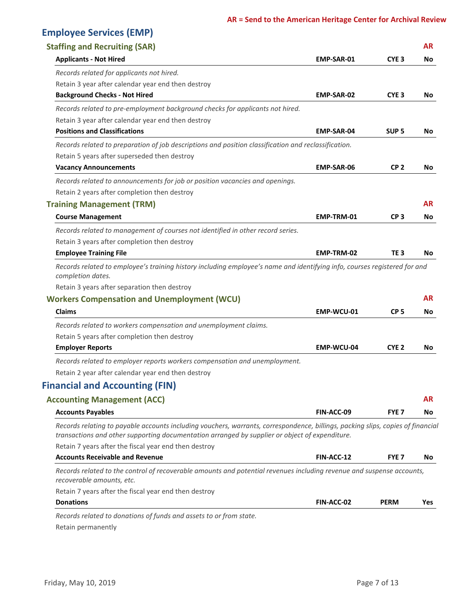## **Employee Services (EMP)**

| <b>Staffing and Recruiting (SAR)</b>                                                                                                                    |                   |                  | AR.       |
|---------------------------------------------------------------------------------------------------------------------------------------------------------|-------------------|------------------|-----------|
| <b>Applicants - Not Hired</b>                                                                                                                           | EMP-SAR-01        | CYE <sub>3</sub> | No        |
| Records related for applicants not hired.                                                                                                               |                   |                  |           |
| Retain 3 year after calendar year end then destroy                                                                                                      |                   |                  |           |
| <b>Background Checks - Not Hired</b>                                                                                                                    | <b>EMP-SAR-02</b> | CYE <sub>3</sub> | No        |
| Records related to pre-employment background checks for applicants not hired.                                                                           |                   |                  |           |
| Retain 3 year after calendar year end then destroy                                                                                                      |                   |                  |           |
| <b>Positions and Classifications</b>                                                                                                                    | <b>EMP-SAR-04</b> | SUP <sub>5</sub> | No.       |
| Records related to preparation of job descriptions and position classification and reclassification.                                                    |                   |                  |           |
| Retain 5 years after superseded then destroy                                                                                                            |                   |                  |           |
| <b>Vacancy Announcements</b>                                                                                                                            | <b>EMP-SAR-06</b> | CP <sub>2</sub>  | No.       |
| Records related to announcements for job or position vacancies and openings.                                                                            |                   |                  |           |
| Retain 2 years after completion then destroy                                                                                                            |                   |                  |           |
| <b>Training Management (TRM)</b>                                                                                                                        |                   |                  | AR.       |
| <b>Course Management</b>                                                                                                                                | EMP-TRM-01        | CP <sub>3</sub>  | No        |
| Records related to management of courses not identified in other record series.                                                                         |                   |                  |           |
| Retain 3 years after completion then destroy                                                                                                            |                   |                  |           |
| <b>Employee Training File</b>                                                                                                                           | EMP-TRM-02        | TE <sub>3</sub>  | No        |
| Records related to employee's training history including employee's name and identifying info, courses registered for and<br>completion dates.          |                   |                  |           |
| Retain 3 years after separation then destroy                                                                                                            |                   |                  |           |
| <b>Workers Compensation and Unemployment (WCU)</b>                                                                                                      |                   |                  | <b>AR</b> |
| <b>Claims</b>                                                                                                                                           | EMP-WCU-01        | CP <sub>5</sub>  | No.       |
| Records related to workers compensation and unemployment claims.                                                                                        |                   |                  |           |
| Retain 5 years after completion then destroy                                                                                                            |                   |                  |           |
| <b>Employer Reports</b>                                                                                                                                 | EMP-WCU-04        | CYE <sub>2</sub> | No        |
| Records related to employer reports workers compensation and unemployment.                                                                              |                   |                  |           |
| Retain 2 year after calendar year end then destroy                                                                                                      |                   |                  |           |
| <b>Financial and Accounting (FIN)</b>                                                                                                                   |                   |                  |           |
| <b>Accounting Management (ACC)</b>                                                                                                                      |                   |                  | <b>AR</b> |
| <b>Accounts Payables</b>                                                                                                                                | FIN-ACC-09        | FYE <sub>7</sub> | No.       |
| Records relating to payable accounts including vouchers, warrants, correspondence, billings, packing slips, copies of financial                         |                   |                  |           |
| transactions and other supporting documentation arranged by supplier or object of expenditure.<br>Retain 7 years after the fiscal year end then destroy |                   |                  |           |
| <b>Accounts Receivable and Revenue</b>                                                                                                                  | FIN-ACC-12        | FYE <sub>7</sub> | No.       |
| Records related to the control of recoverable amounts and potential revenues including revenue and suspense accounts,<br>recoverable amounts, etc.      |                   |                  |           |
| Retain 7 years after the fiscal year end then destroy                                                                                                   |                   |                  |           |
| <b>Donations</b>                                                                                                                                        | FIN-ACC-02        | <b>PERM</b>      | Yes       |
| Records related to donations of funds and assets to or from state.                                                                                      |                   |                  |           |
| Retain permanently                                                                                                                                      |                   |                  |           |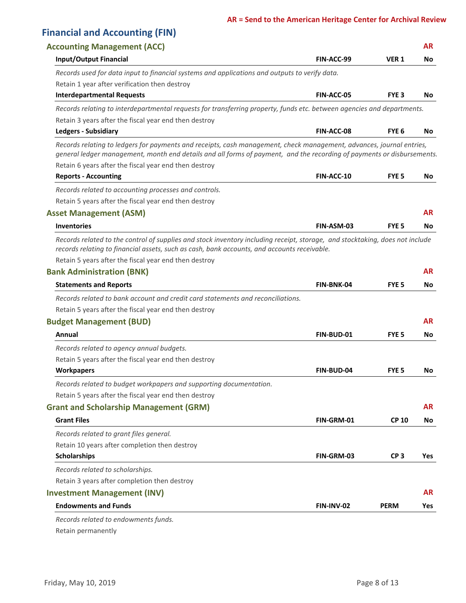#### **AR = Send to the American Heritage Center for Archival Review**

| <b>AR</b><br><b>Accounting Management (ACC)</b><br><b>Input/Output Financial</b><br>VER <sub>1</sub><br>FIN-ACC-99<br>No.<br>Records used for data input to financial systems and applications and outputs to verify data.<br>Retain 1 year after verification then destroy<br><b>Interdepartmental Requests</b><br><b>FIN-ACC-05</b><br>FYE <sub>3</sub><br>No.<br>Records relating to interdepartmental requests for transferring property, funds etc. between agencies and departments.<br>Retain 3 years after the fiscal year end then destroy<br><b>Ledgers - Subsidiary</b><br>FYE <sub>6</sub><br><b>FIN-ACC-08</b><br>No.<br>Records relating to ledgers for payments and receipts, cash management, check management, advances, journal entries,<br>general ledger management, month end details and all forms of payment, and the recording of payments or disbursements.<br>Retain 6 years after the fiscal year end then destroy<br><b>Reports - Accounting</b><br>FIN-ACC-10<br>FYE <sub>5</sub><br>No.<br>Records related to accounting processes and controls.<br>Retain 5 years after the fiscal year end then destroy<br><b>AR</b><br><b>Asset Management (ASM)</b><br><b>Inventories</b><br>FIN-ASM-03<br>FYE <sub>5</sub><br>No.<br>Records related to the control of supplies and stock inventory including receipt, storage, and stocktaking, does not include<br>records relating to financial assets, such as cash, bank accounts, and accounts receivable.<br>Retain 5 years after the fiscal year end then destroy<br><b>Bank Administration (BNK)</b><br><b>AR</b><br>FIN-BNK-04<br><b>Statements and Reports</b><br>FYE <sub>5</sub><br>No<br>Records related to bank account and credit card statements and reconciliations.<br>Retain 5 years after the fiscal year end then destroy<br><b>AR</b><br><b>Budget Management (BUD)</b><br>Annual<br>FIN-BUD-01<br>FYE <sub>5</sub><br>No.<br>Records related to agency annual budgets.<br>Retain 5 years after the fiscal year end then destroy<br><b>Workpapers</b><br><b>FIN-BUD-04</b><br>FYE 5<br>No<br>Records related to budget workpapers and supporting documentation.<br>Retain 5 years after the fiscal year end then destroy<br><b>AR</b><br><b>Grant and Scholarship Management (GRM)</b><br><b>Grant Files</b><br>FIN-GRM-01<br><b>CP 10</b><br>No<br>Records related to grant files general.<br>Retain 10 years after completion then destroy<br><b>Scholarships</b><br>FIN-GRM-03<br>CP <sub>3</sub><br>Records related to scholarships.<br>Retain 3 years after completion then destroy<br><b>AR</b><br><b>Investment Management (INV)</b><br><b>Endowments and Funds</b><br>FIN-INV-02<br><b>PERM</b><br>Yes<br>Records related to endowments funds. | <b>Financial and Accounting (FIN)</b> |  |     |
|--------------------------------------------------------------------------------------------------------------------------------------------------------------------------------------------------------------------------------------------------------------------------------------------------------------------------------------------------------------------------------------------------------------------------------------------------------------------------------------------------------------------------------------------------------------------------------------------------------------------------------------------------------------------------------------------------------------------------------------------------------------------------------------------------------------------------------------------------------------------------------------------------------------------------------------------------------------------------------------------------------------------------------------------------------------------------------------------------------------------------------------------------------------------------------------------------------------------------------------------------------------------------------------------------------------------------------------------------------------------------------------------------------------------------------------------------------------------------------------------------------------------------------------------------------------------------------------------------------------------------------------------------------------------------------------------------------------------------------------------------------------------------------------------------------------------------------------------------------------------------------------------------------------------------------------------------------------------------------------------------------------------------------------------------------------------------------------------------------------------------------------------------------------------------------------------------------------------------------------------------------------------------------------------------------------------------------------------------------------------------------------------------------------------------------------------------------------------------------------------------------------------------------------------------------------------------------------------------------------------------------------------------------------------------------------------------------------------------------------------------|---------------------------------------|--|-----|
|                                                                                                                                                                                                                                                                                                                                                                                                                                                                                                                                                                                                                                                                                                                                                                                                                                                                                                                                                                                                                                                                                                                                                                                                                                                                                                                                                                                                                                                                                                                                                                                                                                                                                                                                                                                                                                                                                                                                                                                                                                                                                                                                                                                                                                                                                                                                                                                                                                                                                                                                                                                                                                                                                                                                                  |                                       |  |     |
|                                                                                                                                                                                                                                                                                                                                                                                                                                                                                                                                                                                                                                                                                                                                                                                                                                                                                                                                                                                                                                                                                                                                                                                                                                                                                                                                                                                                                                                                                                                                                                                                                                                                                                                                                                                                                                                                                                                                                                                                                                                                                                                                                                                                                                                                                                                                                                                                                                                                                                                                                                                                                                                                                                                                                  |                                       |  |     |
|                                                                                                                                                                                                                                                                                                                                                                                                                                                                                                                                                                                                                                                                                                                                                                                                                                                                                                                                                                                                                                                                                                                                                                                                                                                                                                                                                                                                                                                                                                                                                                                                                                                                                                                                                                                                                                                                                                                                                                                                                                                                                                                                                                                                                                                                                                                                                                                                                                                                                                                                                                                                                                                                                                                                                  |                                       |  |     |
|                                                                                                                                                                                                                                                                                                                                                                                                                                                                                                                                                                                                                                                                                                                                                                                                                                                                                                                                                                                                                                                                                                                                                                                                                                                                                                                                                                                                                                                                                                                                                                                                                                                                                                                                                                                                                                                                                                                                                                                                                                                                                                                                                                                                                                                                                                                                                                                                                                                                                                                                                                                                                                                                                                                                                  |                                       |  |     |
|                                                                                                                                                                                                                                                                                                                                                                                                                                                                                                                                                                                                                                                                                                                                                                                                                                                                                                                                                                                                                                                                                                                                                                                                                                                                                                                                                                                                                                                                                                                                                                                                                                                                                                                                                                                                                                                                                                                                                                                                                                                                                                                                                                                                                                                                                                                                                                                                                                                                                                                                                                                                                                                                                                                                                  |                                       |  |     |
|                                                                                                                                                                                                                                                                                                                                                                                                                                                                                                                                                                                                                                                                                                                                                                                                                                                                                                                                                                                                                                                                                                                                                                                                                                                                                                                                                                                                                                                                                                                                                                                                                                                                                                                                                                                                                                                                                                                                                                                                                                                                                                                                                                                                                                                                                                                                                                                                                                                                                                                                                                                                                                                                                                                                                  |                                       |  |     |
|                                                                                                                                                                                                                                                                                                                                                                                                                                                                                                                                                                                                                                                                                                                                                                                                                                                                                                                                                                                                                                                                                                                                                                                                                                                                                                                                                                                                                                                                                                                                                                                                                                                                                                                                                                                                                                                                                                                                                                                                                                                                                                                                                                                                                                                                                                                                                                                                                                                                                                                                                                                                                                                                                                                                                  |                                       |  |     |
|                                                                                                                                                                                                                                                                                                                                                                                                                                                                                                                                                                                                                                                                                                                                                                                                                                                                                                                                                                                                                                                                                                                                                                                                                                                                                                                                                                                                                                                                                                                                                                                                                                                                                                                                                                                                                                                                                                                                                                                                                                                                                                                                                                                                                                                                                                                                                                                                                                                                                                                                                                                                                                                                                                                                                  |                                       |  |     |
|                                                                                                                                                                                                                                                                                                                                                                                                                                                                                                                                                                                                                                                                                                                                                                                                                                                                                                                                                                                                                                                                                                                                                                                                                                                                                                                                                                                                                                                                                                                                                                                                                                                                                                                                                                                                                                                                                                                                                                                                                                                                                                                                                                                                                                                                                                                                                                                                                                                                                                                                                                                                                                                                                                                                                  |                                       |  |     |
|                                                                                                                                                                                                                                                                                                                                                                                                                                                                                                                                                                                                                                                                                                                                                                                                                                                                                                                                                                                                                                                                                                                                                                                                                                                                                                                                                                                                                                                                                                                                                                                                                                                                                                                                                                                                                                                                                                                                                                                                                                                                                                                                                                                                                                                                                                                                                                                                                                                                                                                                                                                                                                                                                                                                                  |                                       |  |     |
|                                                                                                                                                                                                                                                                                                                                                                                                                                                                                                                                                                                                                                                                                                                                                                                                                                                                                                                                                                                                                                                                                                                                                                                                                                                                                                                                                                                                                                                                                                                                                                                                                                                                                                                                                                                                                                                                                                                                                                                                                                                                                                                                                                                                                                                                                                                                                                                                                                                                                                                                                                                                                                                                                                                                                  |                                       |  |     |
|                                                                                                                                                                                                                                                                                                                                                                                                                                                                                                                                                                                                                                                                                                                                                                                                                                                                                                                                                                                                                                                                                                                                                                                                                                                                                                                                                                                                                                                                                                                                                                                                                                                                                                                                                                                                                                                                                                                                                                                                                                                                                                                                                                                                                                                                                                                                                                                                                                                                                                                                                                                                                                                                                                                                                  |                                       |  |     |
|                                                                                                                                                                                                                                                                                                                                                                                                                                                                                                                                                                                                                                                                                                                                                                                                                                                                                                                                                                                                                                                                                                                                                                                                                                                                                                                                                                                                                                                                                                                                                                                                                                                                                                                                                                                                                                                                                                                                                                                                                                                                                                                                                                                                                                                                                                                                                                                                                                                                                                                                                                                                                                                                                                                                                  |                                       |  |     |
|                                                                                                                                                                                                                                                                                                                                                                                                                                                                                                                                                                                                                                                                                                                                                                                                                                                                                                                                                                                                                                                                                                                                                                                                                                                                                                                                                                                                                                                                                                                                                                                                                                                                                                                                                                                                                                                                                                                                                                                                                                                                                                                                                                                                                                                                                                                                                                                                                                                                                                                                                                                                                                                                                                                                                  |                                       |  |     |
|                                                                                                                                                                                                                                                                                                                                                                                                                                                                                                                                                                                                                                                                                                                                                                                                                                                                                                                                                                                                                                                                                                                                                                                                                                                                                                                                                                                                                                                                                                                                                                                                                                                                                                                                                                                                                                                                                                                                                                                                                                                                                                                                                                                                                                                                                                                                                                                                                                                                                                                                                                                                                                                                                                                                                  |                                       |  |     |
|                                                                                                                                                                                                                                                                                                                                                                                                                                                                                                                                                                                                                                                                                                                                                                                                                                                                                                                                                                                                                                                                                                                                                                                                                                                                                                                                                                                                                                                                                                                                                                                                                                                                                                                                                                                                                                                                                                                                                                                                                                                                                                                                                                                                                                                                                                                                                                                                                                                                                                                                                                                                                                                                                                                                                  |                                       |  |     |
|                                                                                                                                                                                                                                                                                                                                                                                                                                                                                                                                                                                                                                                                                                                                                                                                                                                                                                                                                                                                                                                                                                                                                                                                                                                                                                                                                                                                                                                                                                                                                                                                                                                                                                                                                                                                                                                                                                                                                                                                                                                                                                                                                                                                                                                                                                                                                                                                                                                                                                                                                                                                                                                                                                                                                  |                                       |  |     |
|                                                                                                                                                                                                                                                                                                                                                                                                                                                                                                                                                                                                                                                                                                                                                                                                                                                                                                                                                                                                                                                                                                                                                                                                                                                                                                                                                                                                                                                                                                                                                                                                                                                                                                                                                                                                                                                                                                                                                                                                                                                                                                                                                                                                                                                                                                                                                                                                                                                                                                                                                                                                                                                                                                                                                  |                                       |  |     |
|                                                                                                                                                                                                                                                                                                                                                                                                                                                                                                                                                                                                                                                                                                                                                                                                                                                                                                                                                                                                                                                                                                                                                                                                                                                                                                                                                                                                                                                                                                                                                                                                                                                                                                                                                                                                                                                                                                                                                                                                                                                                                                                                                                                                                                                                                                                                                                                                                                                                                                                                                                                                                                                                                                                                                  |                                       |  |     |
|                                                                                                                                                                                                                                                                                                                                                                                                                                                                                                                                                                                                                                                                                                                                                                                                                                                                                                                                                                                                                                                                                                                                                                                                                                                                                                                                                                                                                                                                                                                                                                                                                                                                                                                                                                                                                                                                                                                                                                                                                                                                                                                                                                                                                                                                                                                                                                                                                                                                                                                                                                                                                                                                                                                                                  |                                       |  |     |
|                                                                                                                                                                                                                                                                                                                                                                                                                                                                                                                                                                                                                                                                                                                                                                                                                                                                                                                                                                                                                                                                                                                                                                                                                                                                                                                                                                                                                                                                                                                                                                                                                                                                                                                                                                                                                                                                                                                                                                                                                                                                                                                                                                                                                                                                                                                                                                                                                                                                                                                                                                                                                                                                                                                                                  |                                       |  |     |
|                                                                                                                                                                                                                                                                                                                                                                                                                                                                                                                                                                                                                                                                                                                                                                                                                                                                                                                                                                                                                                                                                                                                                                                                                                                                                                                                                                                                                                                                                                                                                                                                                                                                                                                                                                                                                                                                                                                                                                                                                                                                                                                                                                                                                                                                                                                                                                                                                                                                                                                                                                                                                                                                                                                                                  |                                       |  |     |
|                                                                                                                                                                                                                                                                                                                                                                                                                                                                                                                                                                                                                                                                                                                                                                                                                                                                                                                                                                                                                                                                                                                                                                                                                                                                                                                                                                                                                                                                                                                                                                                                                                                                                                                                                                                                                                                                                                                                                                                                                                                                                                                                                                                                                                                                                                                                                                                                                                                                                                                                                                                                                                                                                                                                                  |                                       |  |     |
|                                                                                                                                                                                                                                                                                                                                                                                                                                                                                                                                                                                                                                                                                                                                                                                                                                                                                                                                                                                                                                                                                                                                                                                                                                                                                                                                                                                                                                                                                                                                                                                                                                                                                                                                                                                                                                                                                                                                                                                                                                                                                                                                                                                                                                                                                                                                                                                                                                                                                                                                                                                                                                                                                                                                                  |                                       |  |     |
|                                                                                                                                                                                                                                                                                                                                                                                                                                                                                                                                                                                                                                                                                                                                                                                                                                                                                                                                                                                                                                                                                                                                                                                                                                                                                                                                                                                                                                                                                                                                                                                                                                                                                                                                                                                                                                                                                                                                                                                                                                                                                                                                                                                                                                                                                                                                                                                                                                                                                                                                                                                                                                                                                                                                                  |                                       |  |     |
|                                                                                                                                                                                                                                                                                                                                                                                                                                                                                                                                                                                                                                                                                                                                                                                                                                                                                                                                                                                                                                                                                                                                                                                                                                                                                                                                                                                                                                                                                                                                                                                                                                                                                                                                                                                                                                                                                                                                                                                                                                                                                                                                                                                                                                                                                                                                                                                                                                                                                                                                                                                                                                                                                                                                                  |                                       |  |     |
|                                                                                                                                                                                                                                                                                                                                                                                                                                                                                                                                                                                                                                                                                                                                                                                                                                                                                                                                                                                                                                                                                                                                                                                                                                                                                                                                                                                                                                                                                                                                                                                                                                                                                                                                                                                                                                                                                                                                                                                                                                                                                                                                                                                                                                                                                                                                                                                                                                                                                                                                                                                                                                                                                                                                                  |                                       |  |     |
|                                                                                                                                                                                                                                                                                                                                                                                                                                                                                                                                                                                                                                                                                                                                                                                                                                                                                                                                                                                                                                                                                                                                                                                                                                                                                                                                                                                                                                                                                                                                                                                                                                                                                                                                                                                                                                                                                                                                                                                                                                                                                                                                                                                                                                                                                                                                                                                                                                                                                                                                                                                                                                                                                                                                                  |                                       |  |     |
|                                                                                                                                                                                                                                                                                                                                                                                                                                                                                                                                                                                                                                                                                                                                                                                                                                                                                                                                                                                                                                                                                                                                                                                                                                                                                                                                                                                                                                                                                                                                                                                                                                                                                                                                                                                                                                                                                                                                                                                                                                                                                                                                                                                                                                                                                                                                                                                                                                                                                                                                                                                                                                                                                                                                                  |                                       |  | Yes |
|                                                                                                                                                                                                                                                                                                                                                                                                                                                                                                                                                                                                                                                                                                                                                                                                                                                                                                                                                                                                                                                                                                                                                                                                                                                                                                                                                                                                                                                                                                                                                                                                                                                                                                                                                                                                                                                                                                                                                                                                                                                                                                                                                                                                                                                                                                                                                                                                                                                                                                                                                                                                                                                                                                                                                  |                                       |  |     |
|                                                                                                                                                                                                                                                                                                                                                                                                                                                                                                                                                                                                                                                                                                                                                                                                                                                                                                                                                                                                                                                                                                                                                                                                                                                                                                                                                                                                                                                                                                                                                                                                                                                                                                                                                                                                                                                                                                                                                                                                                                                                                                                                                                                                                                                                                                                                                                                                                                                                                                                                                                                                                                                                                                                                                  |                                       |  |     |
|                                                                                                                                                                                                                                                                                                                                                                                                                                                                                                                                                                                                                                                                                                                                                                                                                                                                                                                                                                                                                                                                                                                                                                                                                                                                                                                                                                                                                                                                                                                                                                                                                                                                                                                                                                                                                                                                                                                                                                                                                                                                                                                                                                                                                                                                                                                                                                                                                                                                                                                                                                                                                                                                                                                                                  |                                       |  |     |
|                                                                                                                                                                                                                                                                                                                                                                                                                                                                                                                                                                                                                                                                                                                                                                                                                                                                                                                                                                                                                                                                                                                                                                                                                                                                                                                                                                                                                                                                                                                                                                                                                                                                                                                                                                                                                                                                                                                                                                                                                                                                                                                                                                                                                                                                                                                                                                                                                                                                                                                                                                                                                                                                                                                                                  |                                       |  |     |
|                                                                                                                                                                                                                                                                                                                                                                                                                                                                                                                                                                                                                                                                                                                                                                                                                                                                                                                                                                                                                                                                                                                                                                                                                                                                                                                                                                                                                                                                                                                                                                                                                                                                                                                                                                                                                                                                                                                                                                                                                                                                                                                                                                                                                                                                                                                                                                                                                                                                                                                                                                                                                                                                                                                                                  |                                       |  |     |

Retain permanently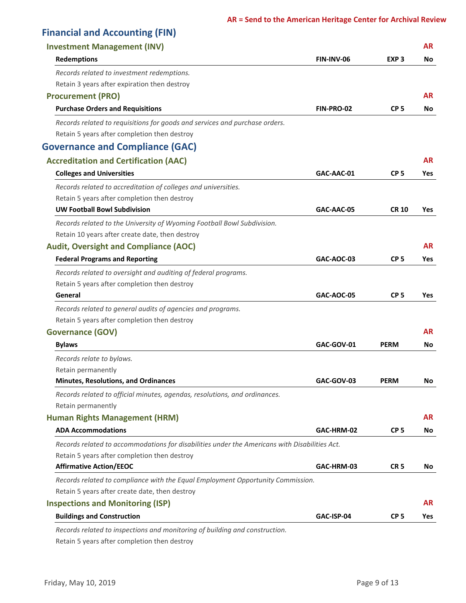| <b>Financial and Accounting (FIN)</b>                                                         |                   |                  |            |
|-----------------------------------------------------------------------------------------------|-------------------|------------------|------------|
| <b>Investment Management (INV)</b>                                                            |                   |                  | <b>AR</b>  |
| <b>Redemptions</b>                                                                            | FIN-INV-06        | EXP <sub>3</sub> | No         |
| Records related to investment redemptions.                                                    |                   |                  |            |
| Retain 3 years after expiration then destroy                                                  |                   |                  |            |
| <b>Procurement (PRO)</b>                                                                      |                   |                  | AR         |
| <b>Purchase Orders and Requisitions</b>                                                       | FIN-PRO-02        | CP <sub>5</sub>  | No.        |
| Records related to requisitions for goods and services and purchase orders.                   |                   |                  |            |
| Retain 5 years after completion then destroy                                                  |                   |                  |            |
| <b>Governance and Compliance (GAC)</b>                                                        |                   |                  |            |
| <b>Accreditation and Certification (AAC)</b>                                                  |                   |                  | AR.        |
| <b>Colleges and Universities</b>                                                              | GAC-AAC-01        | CP <sub>5</sub>  | <b>Yes</b> |
| Records related to accreditation of colleges and universities.                                |                   |                  |            |
| Retain 5 years after completion then destroy                                                  |                   |                  |            |
| <b>UW Football Bowl Subdivision</b>                                                           | GAC-AAC-05        | <b>CR 10</b>     | <b>Yes</b> |
| Records related to the University of Wyoming Football Bowl Subdivision.                       |                   |                  |            |
| Retain 10 years after create date, then destroy                                               |                   |                  |            |
| <b>Audit, Oversight and Compliance (AOC)</b>                                                  |                   |                  | <b>AR</b>  |
| <b>Federal Programs and Reporting</b>                                                         | GAC-AOC-03        | CP <sub>5</sub>  | <b>Yes</b> |
| Records related to oversight and auditing of federal programs.                                |                   |                  |            |
| Retain 5 years after completion then destroy                                                  |                   |                  |            |
| General                                                                                       | <b>GAC-AOC-05</b> | CP <sub>5</sub>  | <b>Yes</b> |
| Records related to general audits of agencies and programs.                                   |                   |                  |            |
| Retain 5 years after completion then destroy                                                  |                   |                  |            |
| <b>Governance (GOV)</b>                                                                       |                   |                  | AR.        |
| <b>Bylaws</b>                                                                                 | GAC-GOV-01        | <b>PERM</b>      | No         |
| Records relate to bylaws.                                                                     |                   |                  |            |
| Retain permanently                                                                            |                   |                  |            |
| <b>Minutes, Resolutions, and Ordinances</b>                                                   | GAC-GOV-03        | <b>PERM</b>      | No         |
| Records related to official minutes, agendas, resolutions, and ordinances.                    |                   |                  |            |
| Retain permanently                                                                            |                   |                  |            |
| <b>Human Rights Management (HRM)</b>                                                          |                   |                  | <b>AR</b>  |
| <b>ADA Accommodations</b>                                                                     | GAC-HRM-02        | CP <sub>5</sub>  | No.        |
| Records related to accommodations for disabilities under the Americans with Disabilities Act. |                   |                  |            |
| Retain 5 years after completion then destroy                                                  |                   |                  |            |
| <b>Affirmative Action/EEOC</b>                                                                | GAC-HRM-03        | CR <sub>5</sub>  | No.        |
| Records related to compliance with the Equal Employment Opportunity Commission.               |                   |                  |            |
| Retain 5 years after create date, then destroy                                                |                   |                  |            |
| <b>Inspections and Monitoring (ISP)</b>                                                       |                   |                  | <b>AR</b>  |
| <b>Buildings and Construction</b>                                                             | GAC-ISP-04        | CP <sub>5</sub>  | <b>Yes</b> |
| Records related to inspections and monitoring of building and construction.                   |                   |                  |            |

Retain 5 years after completion then destroy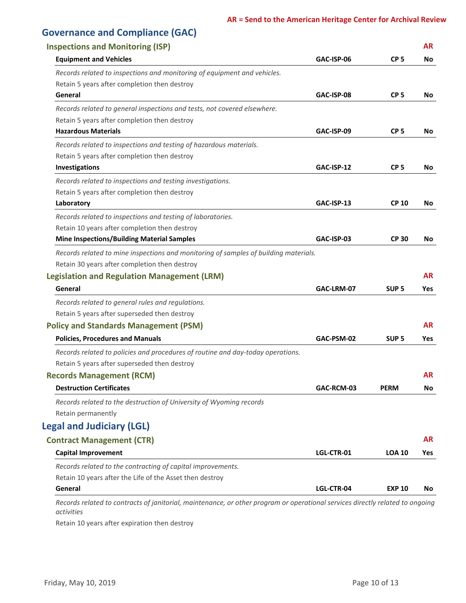| <b>Governance and Compliance (GAC)</b>                                                                                        |            |                  |            |
|-------------------------------------------------------------------------------------------------------------------------------|------------|------------------|------------|
| <b>Inspections and Monitoring (ISP)</b>                                                                                       |            |                  | <b>AR</b>  |
| <b>Equipment and Vehicles</b>                                                                                                 | GAC-ISP-06 | CP <sub>5</sub>  | No         |
| Records related to inspections and monitoring of equipment and vehicles.                                                      |            |                  |            |
| Retain 5 years after completion then destroy                                                                                  |            |                  |            |
| General                                                                                                                       | GAC-ISP-08 | CP <sub>5</sub>  | No         |
| Records related to general inspections and tests, not covered elsewhere.                                                      |            |                  |            |
| Retain 5 years after completion then destroy                                                                                  |            |                  |            |
| <b>Hazardous Materials</b>                                                                                                    | GAC-ISP-09 | CP <sub>5</sub>  | No         |
| Records related to inspections and testing of hazardous materials.                                                            |            |                  |            |
| Retain 5 years after completion then destroy                                                                                  |            |                  |            |
| Investigations                                                                                                                | GAC-ISP-12 | CP <sub>5</sub>  | No         |
| Records related to inspections and testing investigations.                                                                    |            |                  |            |
| Retain 5 years after completion then destroy                                                                                  |            |                  |            |
| Laboratory                                                                                                                    | GAC-ISP-13 | <b>CP 10</b>     | No         |
| Records related to inspections and testing of laboratories.                                                                   |            |                  |            |
| Retain 10 years after completion then destroy                                                                                 |            |                  |            |
| <b>Mine Inspections/Building Material Samples</b>                                                                             | GAC-ISP-03 | <b>CP 30</b>     | No         |
| Records related to mine inspections and monitoring of samples of building materials.                                          |            |                  |            |
| Retain 30 years after completion then destroy                                                                                 |            |                  |            |
| <b>Legislation and Regulation Management (LRM)</b>                                                                            |            |                  | <b>AR</b>  |
| General                                                                                                                       | GAC-LRM-07 | SUP <sub>5</sub> | <b>Yes</b> |
| Records related to general rules and regulations.                                                                             |            |                  |            |
| Retain 5 years after superseded then destroy                                                                                  |            |                  |            |
| <b>Policy and Standards Management (PSM)</b>                                                                                  |            |                  | AR         |
| <b>Policies, Procedures and Manuals</b>                                                                                       | GAC-PSM-02 | SUP <sub>5</sub> | Yes        |
| Records related to policies and procedures of routine and day-today operations.                                               |            |                  |            |
| Retain 5 years after superseded then destroy                                                                                  |            |                  |            |
| <b>Records Management (RCM)</b>                                                                                               |            |                  | AR         |
| <b>Destruction Certificates</b>                                                                                               | GAC-RCM-03 | <b>PERM</b>      | No         |
| Records related to the destruction of University of Wyoming records                                                           |            |                  |            |
| Retain permanently                                                                                                            |            |                  |            |
| <b>Legal and Judiciary (LGL)</b>                                                                                              |            |                  |            |
| <b>Contract Management (CTR)</b>                                                                                              |            |                  | <b>AR</b>  |
| <b>Capital Improvement</b>                                                                                                    | LGL-CTR-01 | <b>LOA 10</b>    | Yes        |
| Records related to the contracting of capital improvements.                                                                   |            |                  |            |
| Retain 10 years after the Life of the Asset then destroy                                                                      |            |                  |            |
| General                                                                                                                       | LGL-CTR-04 | <b>EXP 10</b>    | No         |
| Records related to contracts of janitorial, maintenance, or other program or operational services directly related to ongoing |            |                  |            |

Retain 10 years after expiration then destroy

*activities*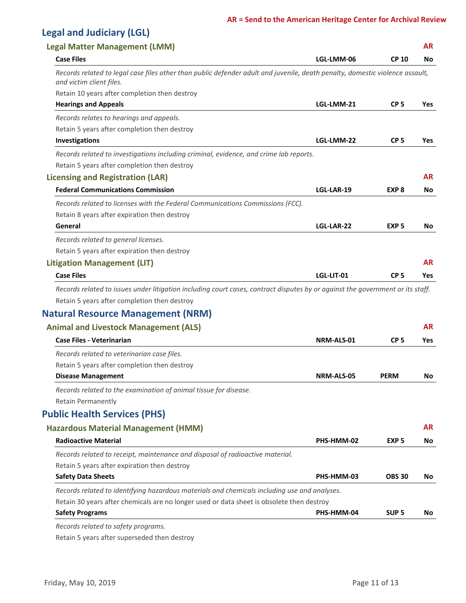#### **AR = Send to the American Heritage Center for Archival Review**

## **Legal and Judiciary (LGL)**

| <b>Legal Matter Management (LMM)</b>                                                                                                                                           |            |                  | <b>AR</b>  |
|--------------------------------------------------------------------------------------------------------------------------------------------------------------------------------|------------|------------------|------------|
| <b>Case Files</b>                                                                                                                                                              | LGL-LMM-06 | <b>CP 10</b>     | No         |
| Records related to legal case files other than public defender adult and juvenile, death penalty, domestic violence assault,<br>and victim client files.                       |            |                  |            |
| Retain 10 years after completion then destroy                                                                                                                                  |            |                  |            |
| <b>Hearings and Appeals</b>                                                                                                                                                    | LGL-LMM-21 | CP <sub>5</sub>  | Yes        |
| Records relates to hearings and appeals.                                                                                                                                       |            |                  |            |
| Retain 5 years after completion then destroy                                                                                                                                   |            |                  |            |
| Investigations                                                                                                                                                                 | LGL-LMM-22 | CP <sub>5</sub>  | <b>Yes</b> |
| Records related to investigations including criminal, evidence, and crime lab reports.                                                                                         |            |                  |            |
| Retain 5 years after completion then destroy                                                                                                                                   |            |                  |            |
| <b>Licensing and Registration (LAR)</b>                                                                                                                                        |            |                  | <b>AR</b>  |
| <b>Federal Communications Commission</b>                                                                                                                                       | LGL-LAR-19 | EXP <sub>8</sub> | No         |
| Records related to licenses with the Federal Communications Commissions (FCC).                                                                                                 |            |                  |            |
| Retain 8 years after expiration then destroy                                                                                                                                   |            |                  |            |
| General                                                                                                                                                                        | LGL-LAR-22 | EXP <sub>5</sub> | No         |
| Records related to general licenses.                                                                                                                                           |            |                  |            |
| Retain 5 years after expiration then destroy                                                                                                                                   |            |                  |            |
| <b>Litigation Management (LIT)</b>                                                                                                                                             |            |                  | <b>AR</b>  |
| <b>Case Files</b>                                                                                                                                                              | LGL-LIT-01 | CP <sub>5</sub>  | <b>Yes</b> |
| Records related to issues under litigation including court cases, contract disputes by or against the government or its staff.<br>Retain 5 years after completion then destroy |            |                  |            |
| <b>Natural Resource Management (NRM)</b>                                                                                                                                       |            |                  |            |
| <b>Animal and Livestock Management (ALS)</b>                                                                                                                                   |            |                  | <b>AR</b>  |
| <b>Case Files - Veterinarian</b>                                                                                                                                               | NRM-ALS-01 | CP <sub>5</sub>  | <b>Yes</b> |
| Records related to veterinarian case files.                                                                                                                                    |            |                  |            |
| Retain 5 years after completion then destroy                                                                                                                                   |            |                  |            |
| <b>Disease Management</b>                                                                                                                                                      | NRM-ALS-05 | <b>PERM</b>      | No         |
| Records related to the examination of animal tissue for disease.                                                                                                               |            |                  |            |
| Retain Permanently                                                                                                                                                             |            |                  |            |
| <b>Public Health Services (PHS)</b>                                                                                                                                            |            |                  |            |
| <b>Hazardous Material Management (HMM)</b>                                                                                                                                     |            |                  | <b>AR</b>  |
| <b>Radioactive Material</b>                                                                                                                                                    | PHS-HMM-02 | EXP <sub>5</sub> | No         |
|                                                                                                                                                                                |            |                  |            |
| Records related to receipt, maintenance and disposal of radioactive material.<br>Retain 5 years after expiration then destroy                                                  |            |                  |            |
| <b>Safety Data Sheets</b>                                                                                                                                                      | PHS-HMM-03 | <b>OBS 30</b>    | No         |
| Records related to identifying hazardous materials and chemicals including use and analyses.                                                                                   |            |                  |            |
| Retain 30 years after chemicals are no longer used or data sheet is obsolete then destroy                                                                                      |            |                  |            |
| <b>Safety Programs</b>                                                                                                                                                         | PHS-HMM-04 | SUP <sub>5</sub> | No         |
| Records related to safety programs.                                                                                                                                            |            |                  |            |

Retain 5 years after superseded then destroy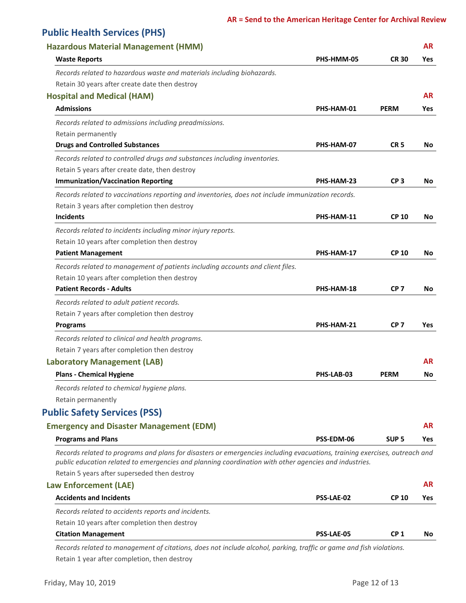## **Public Health Services (PHS)**

| <b>Hazardous Material Management (HMM)</b>                                                                                                                                                                                          |                   |                  | <b>AR</b>  |
|-------------------------------------------------------------------------------------------------------------------------------------------------------------------------------------------------------------------------------------|-------------------|------------------|------------|
| <b>Waste Reports</b>                                                                                                                                                                                                                | PHS-HMM-05        | <b>CR 30</b>     | <b>Yes</b> |
| Records related to hazardous waste and materials including biohazards.                                                                                                                                                              |                   |                  |            |
| Retain 30 years after create date then destroy                                                                                                                                                                                      |                   |                  |            |
| <b>Hospital and Medical (HAM)</b>                                                                                                                                                                                                   |                   |                  | <b>AR</b>  |
| <b>Admissions</b>                                                                                                                                                                                                                   | PHS-HAM-01        | <b>PERM</b>      | <b>Yes</b> |
| Records related to admissions including preadmissions.                                                                                                                                                                              |                   |                  |            |
| Retain permanently                                                                                                                                                                                                                  |                   |                  |            |
| <b>Drugs and Controlled Substances</b>                                                                                                                                                                                              | PHS-HAM-07        | <b>CR5</b>       | No         |
| Records related to controlled drugs and substances including inventories.                                                                                                                                                           |                   |                  |            |
| Retain 5 years after create date, then destroy                                                                                                                                                                                      |                   |                  |            |
| <b>Immunization/Vaccination Reporting</b>                                                                                                                                                                                           | PHS-HAM-23        | CP <sub>3</sub>  | No         |
| Records related to vaccinations reporting and inventories, does not include immunization records.                                                                                                                                   |                   |                  |            |
| Retain 3 years after completion then destroy                                                                                                                                                                                        |                   |                  |            |
| <b>Incidents</b>                                                                                                                                                                                                                    | PHS-HAM-11        | <b>CP 10</b>     | No         |
| Records related to incidents including minor injury reports.                                                                                                                                                                        |                   |                  |            |
| Retain 10 years after completion then destroy                                                                                                                                                                                       |                   |                  |            |
| <b>Patient Management</b>                                                                                                                                                                                                           | PHS-HAM-17        | <b>CP 10</b>     | No         |
| Records related to management of patients including accounts and client files.                                                                                                                                                      |                   |                  |            |
| Retain 10 years after completion then destroy                                                                                                                                                                                       |                   |                  |            |
| <b>Patient Records - Adults</b>                                                                                                                                                                                                     | PHS-HAM-18        | CP <sub>7</sub>  | No         |
| Records related to adult patient records.                                                                                                                                                                                           |                   |                  |            |
| Retain 7 years after completion then destroy                                                                                                                                                                                        |                   |                  |            |
| <b>Programs</b>                                                                                                                                                                                                                     | PHS-HAM-21        | CP <sub>7</sub>  | <b>Yes</b> |
|                                                                                                                                                                                                                                     |                   |                  |            |
| Records related to clinical and health programs.                                                                                                                                                                                    |                   |                  |            |
| Retain 7 years after completion then destroy                                                                                                                                                                                        |                   |                  |            |
| <b>Laboratory Management (LAB)</b>                                                                                                                                                                                                  |                   |                  | <b>AR</b>  |
| <b>Plans - Chemical Hygiene</b>                                                                                                                                                                                                     | PHS-LAB-03        | <b>PERM</b>      | No         |
| Records related to chemical hygiene plans.                                                                                                                                                                                          |                   |                  |            |
| Retain permanently                                                                                                                                                                                                                  |                   |                  |            |
| <b>Public Safety Services (PSS)</b>                                                                                                                                                                                                 |                   |                  |            |
| <b>Emergency and Disaster Management (EDM)</b>                                                                                                                                                                                      |                   |                  | <b>AR</b>  |
| <b>Programs and Plans</b>                                                                                                                                                                                                           | PSS-EDM-06        | SUP <sub>5</sub> | <b>Yes</b> |
| Records related to programs and plans for disasters or emergencies including evacuations, training exercises, outreach and<br>public education related to emergencies and planning coordination with other agencies and industries. |                   |                  |            |
| Retain 5 years after superseded then destroy                                                                                                                                                                                        |                   |                  |            |
| <b>Law Enforcement (LAE)</b>                                                                                                                                                                                                        |                   |                  | <b>AR</b>  |
| <b>Accidents and Incidents</b>                                                                                                                                                                                                      | <b>PSS-LAE-02</b> | <b>CP 10</b>     | Yes        |
| Records related to accidents reports and incidents.                                                                                                                                                                                 |                   |                  |            |
| Retain 10 years after completion then destroy                                                                                                                                                                                       |                   |                  |            |
| <b>Citation Management</b>                                                                                                                                                                                                          | <b>PSS-LAE-05</b> | CP <sub>1</sub>  | No         |

Retain 1 year after completion, then destroy